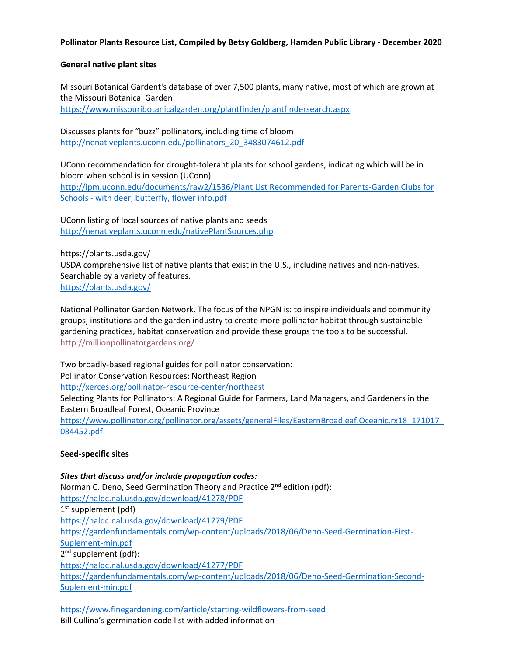# **Pollinator Plants Resource List, Compiled by Betsy Goldberg, Hamden Public Library - December 2020**

# **General native plant sites**

Missouri Botanical Gardent's database of over 7,500 plants, many native, most of which are grown at the Missouri Botanical Garden https://www.missouribotanicalgarden.org/plantfinder/plantfindersearch.aspx

Discusses plants for "buzz" pollinators, including time of bloom http://nenativeplants.uconn.edu/pollinators\_20\_3483074612.pdf

UConn recommendation for drought-tolerant plants for school gardens, indicating which will be in bloom when school is in session (UConn) http://ipm.uconn.edu/documents/raw2/1536/Plant List Recommended for Parents-Garden Clubs for Schools - with deer, butterfly, flower info.pdf

UConn listing of local sources of native plants and seeds http://nenativeplants.uconn.edu/nativePlantSources.php

https://plants.usda.gov/ USDA comprehensive list of native plants that exist in the U.S., including natives and non-natives. Searchable by a variety of features. https://plants.usda.gov/

National Pollinator Garden Network. The focus of the NPGN is: to inspire individuals and community groups, institutions and the garden industry to create more pollinator habitat through sustainable gardening practices, habitat conservation and provide these groups the tools to be successful. http://millionpollinatorgardens.org/

Two broadly-based regional guides for pollinator conservation: Pollinator Conservation Resources: Northeast Region http://xerces.org/pollinator-resource-center/northeast Selecting Plants for Pollinators: A Regional Guide for Farmers, Land Managers, and Gardeners in the Eastern Broadleaf Forest, Oceanic Province

https://www.pollinator.org/pollinator.org/assets/generalFiles/EasternBroadleaf.Oceanic.rx18\_171017\_ 084452.pdf

# **Seed-specific sites**

*Sites that discuss and/or include propagation codes:* Norman C. Deno, Seed Germination Theory and Practice 2<sup>nd</sup> edition (pdf): https://naldc.nal.usda.gov/download/41278/PDF  $1<sup>st</sup>$  supplement (pdf) https://naldc.nal.usda.gov/download/41279/PDF https://gardenfundamentals.com/wp-content/uploads/2018/06/Deno-Seed-Germination-First-Suplement-min.pdf  $2^{nd}$  supplement (pdf): https://naldc.nal.usda.gov/download/41277/PDF https://gardenfundamentals.com/wp-content/uploads/2018/06/Deno-Seed-Germination-Second-Suplement-min.pdf

https://www.finegardening.com/article/starting-wildflowers-from-seed Bill Cullina's germination code list with added information